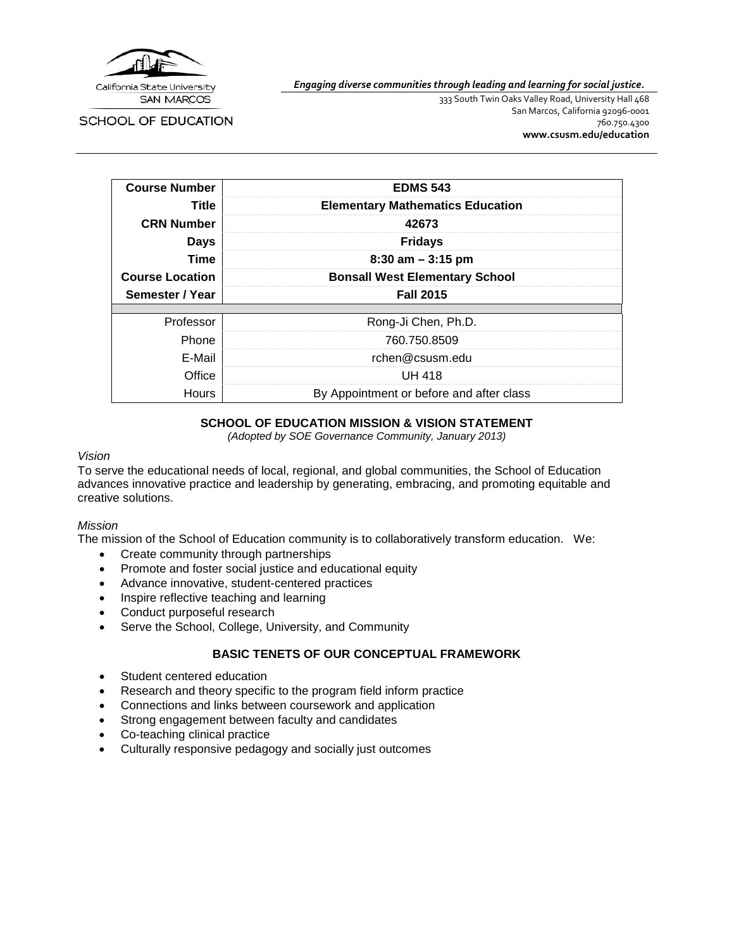

**SCHOOL OF EDUCATION** 

*Engaging diverse communities through leading and learning for social justice.*

333 South Twin Oaks Valley Road, University Hall 468 San Marcos, California 92096-0001 760.750.4300 **[www.csusm.edu/education](http://www.csusm.edu/education)**

| <b>Course Number</b>   | <b>EDMS 543</b>                         |
|------------------------|-----------------------------------------|
| Title                  | <b>Elementary Mathematics Education</b> |
| <b>CRN Number</b>      | 42673                                   |
| <b>Days</b>            | <b>Fridays</b>                          |
| Time                   | $8:30$ am $-3:15$ pm                    |
| <b>Course Location</b> | <b>Bonsall West Elementary School</b>   |
|                        |                                         |
| Semester / Year        | <b>Fall 2015</b>                        |
|                        |                                         |
| Professor              | Rong-Ji Chen, Ph.D.                     |
| Phone                  | 760.750.8509                            |
| E-Mail                 | rchen@csusm.edu                         |
| Office                 | UH 418                                  |

## **SCHOOL OF EDUCATION MISSION & VISION STATEMENT**

*(Adopted by SOE Governance Community, January 2013)*

### *Vision*

To serve the educational needs of local, regional, and global communities, the School of Education advances innovative practice and leadership by generating, embracing, and promoting equitable and creative solutions.

### *Mission*

The mission of the School of Education community is to collaboratively transform education. We:

- Create community through partnerships
- Promote and foster social justice and educational equity
- Advance innovative, student-centered practices
- Inspire reflective teaching and learning
- Conduct purposeful research
- Serve the School, College, University, and Community

### **BASIC TENETS OF OUR CONCEPTUAL FRAMEWORK**

- Student centered education
- Research and theory specific to the program field inform practice
- Connections and links between coursework and application
- Strong engagement between faculty and candidates
- Co-teaching clinical practice
- Culturally responsive pedagogy and socially just outcomes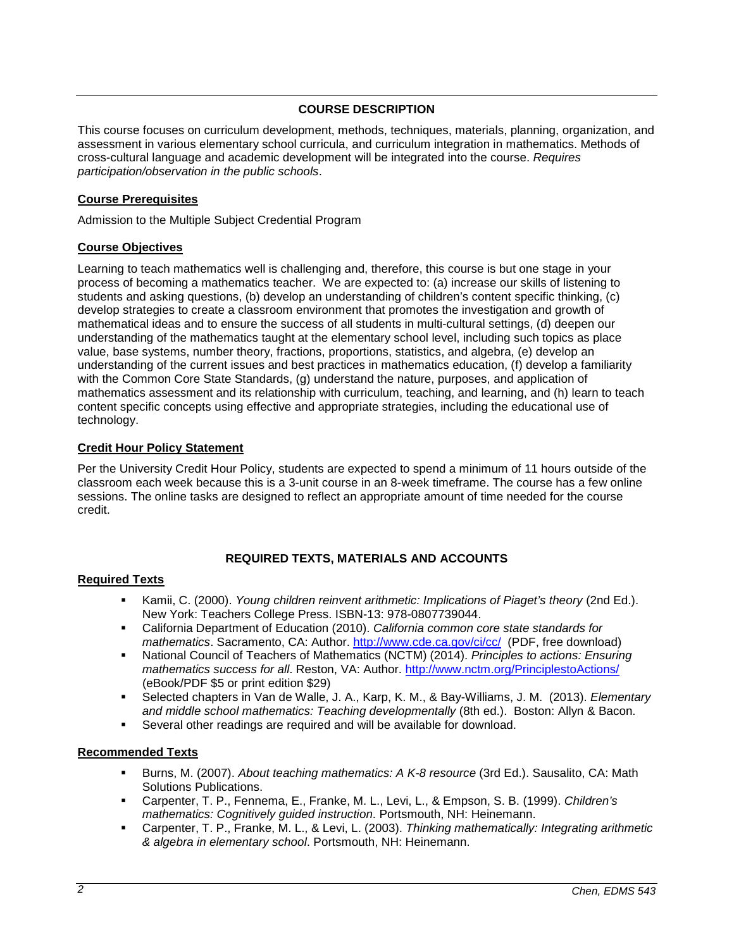## **COURSE DESCRIPTION**

This course focuses on curriculum development, methods, techniques, materials, planning, organization, and assessment in various elementary school curricula, and curriculum integration in mathematics. Methods of cross-cultural language and academic development will be integrated into the course. *Requires participation/observation in the public schools*.

### **Course Prerequisites**

Admission to the Multiple Subject Credential Program

### **Course Objectives**

Learning to teach mathematics well is challenging and, therefore, this course is but one stage in your process of becoming a mathematics teacher. We are expected to: (a) increase our skills of listening to students and asking questions, (b) develop an understanding of children's content specific thinking, (c) develop strategies to create a classroom environment that promotes the investigation and growth of mathematical ideas and to ensure the success of all students in multi-cultural settings, (d) deepen our understanding of the mathematics taught at the elementary school level, including such topics as place value, base systems, number theory, fractions, proportions, statistics, and algebra, (e) develop an understanding of the current issues and best practices in mathematics education, (f) develop a familiarity with the Common Core State Standards, (g) understand the nature, purposes, and application of mathematics assessment and its relationship with curriculum, teaching, and learning, and (h) learn to teach content specific concepts using effective and appropriate strategies, including the educational use of technology.

## **Credit Hour Policy Statement**

Per the University Credit Hour Policy, students are expected to spend a minimum of 11 hours outside of the classroom each week because this is a 3-unit course in an 8-week timeframe. The course has a few online sessions. The online tasks are designed to reflect an appropriate amount of time needed for the course credit.

## **REQUIRED TEXTS, MATERIALS AND ACCOUNTS**

### **Required Texts**

- Kamii, C. (2000). *Young children reinvent arithmetic: Implications of Piaget's theory* (2nd Ed.). New York: Teachers College Press. ISBN-13: 978-0807739044.
- California Department of Education (2010). *California common core state standards for mathematics*. Sacramento, CA: Author.<http://www.cde.ca.gov/ci/cc/>(PDF, free download)
- National Council of Teachers of Mathematics (NCTM) (2014). *Principles to actions: Ensuring mathematics success for all*. Reston, VA: Author.<http://www.nctm.org/PrinciplestoActions/> (eBook/PDF \$5 or print edition \$29)
- Selected chapters in Van de Walle, J. A., Karp, K. M., & Bay-Williams, J. M. (2013). *Elementary and middle school mathematics: Teaching developmentally* (8th ed.). Boston: Allyn & Bacon.
- Several other readings are required and will be available for download.

### **Recommended Texts**

- Burns, M. (2007). *About teaching mathematics: A K-8 resource* (3rd Ed.). Sausalito, CA: Math Solutions Publications.
- Carpenter, T. P., Fennema, E., Franke, M. L., Levi, L., & Empson, S. B. (1999). *Children's mathematics: Cognitively guided instruction*. Portsmouth, NH: Heinemann.
- Carpenter, T. P., Franke, M. L., & Levi, L. (2003). *Thinking mathematically: Integrating arithmetic & algebra in elementary school*. Portsmouth, NH: Heinemann.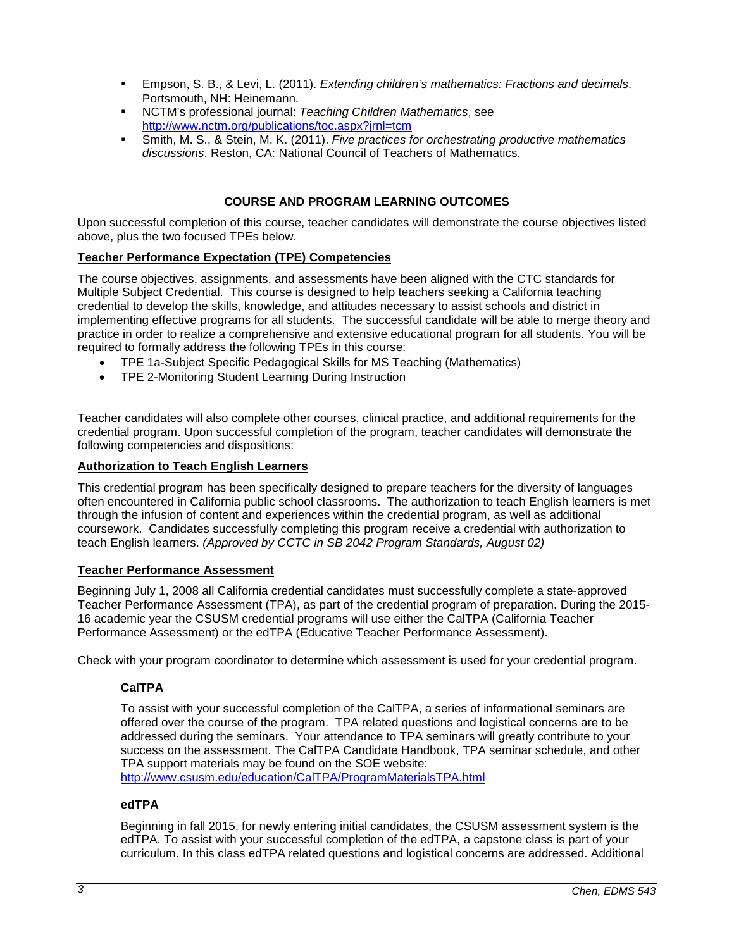- Empson, S. B., & Levi, L. (2011). *Extending children's mathematics: Fractions and decimals*. Portsmouth, NH: Heinemann.
- NCTM's professional journal: *Teaching Children Mathematics*, see <http://www.nctm.org/publications/toc.aspx?jrnl=tcm>
- Smith, M. S., & Stein, M. K. (2011). *Five practices for orchestrating productive mathematics discussions*. Reston, CA: National Council of Teachers of Mathematics.

## **COURSE AND PROGRAM LEARNING OUTCOMES**

Upon successful completion of this course, teacher candidates will demonstrate the course objectives listed above, plus the two focused TPEs below.

## **Teacher Performance Expectation (TPE) Competencies**

The course objectives, assignments, and assessments have been aligned with the CTC standards for Multiple Subject Credential. This course is designed to help teachers seeking a California teaching credential to develop the skills, knowledge, and attitudes necessary to assist schools and district in implementing effective programs for all students. The successful candidate will be able to merge theory and practice in order to realize a comprehensive and extensive educational program for all students. You will be required to formally address the following TPEs in this course:

- TPE 1a-Subject Specific Pedagogical Skills for MS Teaching (Mathematics)
- TPE 2-Monitoring Student Learning During Instruction

Teacher candidates will also complete other courses, clinical practice, and additional requirements for the credential program. Upon successful completion of the program, teacher candidates will demonstrate the following competencies and dispositions:

#### **Authorization to Teach English Learners**

This credential program has been specifically designed to prepare teachers for the diversity of languages often encountered in California public school classrooms. The authorization to teach English learners is met through the infusion of content and experiences within the credential program, as well as additional coursework. Candidates successfully completing this program receive a credential with authorization to teach English learners. *(Approved by CCTC in SB 2042 Program Standards, August 02)*

### **Teacher Performance Assessment**

Beginning July 1, 2008 all California credential candidates must successfully complete a state-approved Teacher Performance Assessment (TPA), as part of the credential program of preparation. During the 2015- 16 academic year the CSUSM credential programs will use either the CalTPA (California Teacher Performance Assessment) or the edTPA (Educative Teacher Performance Assessment).

Check with your program coordinator to determine which assessment is used for your credential program.

### **CalTPA**

To assist with your successful completion of the CalTPA, a series of informational seminars are offered over the course of the program. TPA related questions and logistical concerns are to be addressed during the seminars. Your attendance to TPA seminars will greatly contribute to your success on the assessment. The CalTPA Candidate Handbook, TPA seminar schedule, and other TPA support materials may be found on the SOE website:

<http://www.csusm.edu/education/CalTPA/ProgramMaterialsTPA.html>

## **edTPA**

Beginning in fall 2015, for newly entering initial candidates, the CSUSM assessment system is the edTPA. To assist with your successful completion of the edTPA, a capstone class is part of your curriculum. In this class edTPA related questions and logistical concerns are addressed. Additional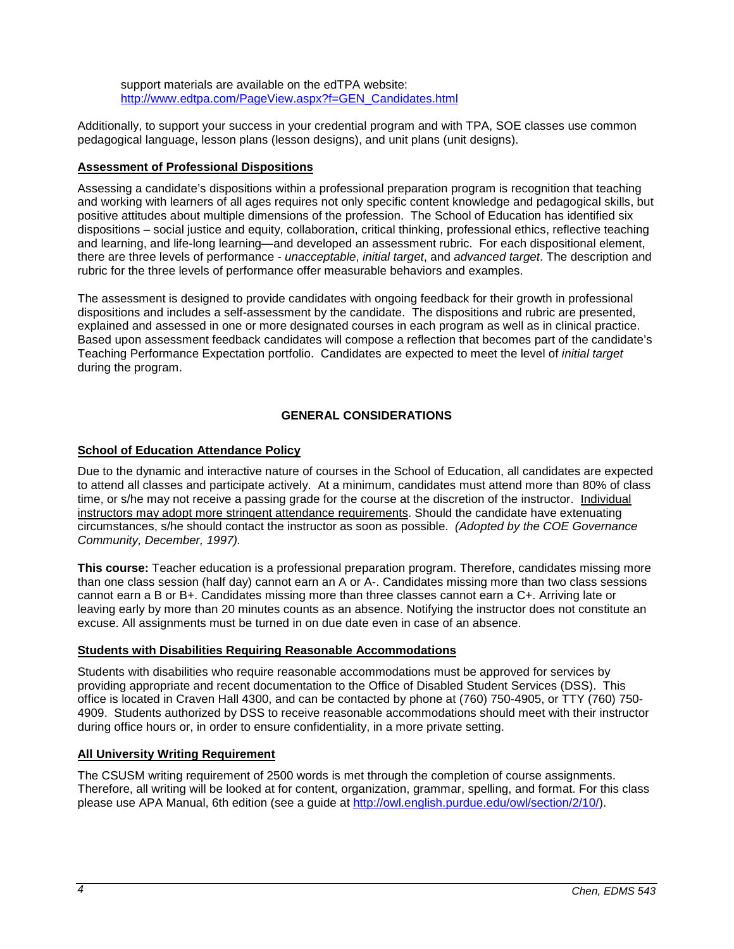support materials are available on the edTPA website: [http://www.edtpa.com/PageView.aspx?f=GEN\\_Candidates.html](http://www.edtpa.com/PageView.aspx?f=GEN_Candidates.html)

Additionally, to support your success in your credential program and with TPA, SOE classes use common pedagogical language, lesson plans (lesson designs), and unit plans (unit designs).

## **Assessment of Professional Dispositions**

Assessing a candidate's dispositions within a professional preparation program is recognition that teaching and working with learners of all ages requires not only specific content knowledge and pedagogical skills, but positive attitudes about multiple dimensions of the profession. The School of Education has identified six dispositions – social justice and equity, collaboration, critical thinking, professional ethics, reflective teaching and learning, and life-long learning—and developed an assessment rubric. For each dispositional element, there are three levels of performance - *unacceptable*, *initial target*, and *advanced target*. The description and rubric for the three levels of performance offer measurable behaviors and examples.

The assessment is designed to provide candidates with ongoing feedback for their growth in professional dispositions and includes a self-assessment by the candidate. The dispositions and rubric are presented, explained and assessed in one or more designated courses in each program as well as in clinical practice. Based upon assessment feedback candidates will compose a reflection that becomes part of the candidate's Teaching Performance Expectation portfolio. Candidates are expected to meet the level of *initial target* during the program.

## **GENERAL CONSIDERATIONS**

### **School of Education Attendance Policy**

Due to the dynamic and interactive nature of courses in the School of Education, all candidates are expected to attend all classes and participate actively. At a minimum, candidates must attend more than 80% of class time, or s/he may not receive a passing grade for the course at the discretion of the instructor. Individual instructors may adopt more stringent attendance requirements. Should the candidate have extenuating circumstances, s/he should contact the instructor as soon as possible. *(Adopted by the COE Governance Community, December, 1997).*

**This course:** Teacher education is a professional preparation program. Therefore, candidates missing more than one class session (half day) cannot earn an A or A-. Candidates missing more than two class sessions cannot earn a B or B+. Candidates missing more than three classes cannot earn a C+. Arriving late or leaving early by more than 20 minutes counts as an absence. Notifying the instructor does not constitute an excuse. All assignments must be turned in on due date even in case of an absence.

### **Students with Disabilities Requiring Reasonable Accommodations**

Students with disabilities who require reasonable accommodations must be approved for services by providing appropriate and recent documentation to the Office of Disabled Student Services (DSS). This office is located in Craven Hall 4300, and can be contacted by phone at (760) 750-4905, or TTY (760) 750- 4909. Students authorized by DSS to receive reasonable accommodations should meet with their instructor during office hours or, in order to ensure confidentiality, in a more private setting.

## **All University Writing Requirement**

The CSUSM writing requirement of 2500 words is met through the completion of course assignments. Therefore, all writing will be looked at for content, organization, grammar, spelling, and format. For this class please use APA Manual, 6th edition (see a guide at [http://owl.english.purdue.edu/owl/section/2/10/\)](http://owl.english.purdue.edu/owl/section/2/10/).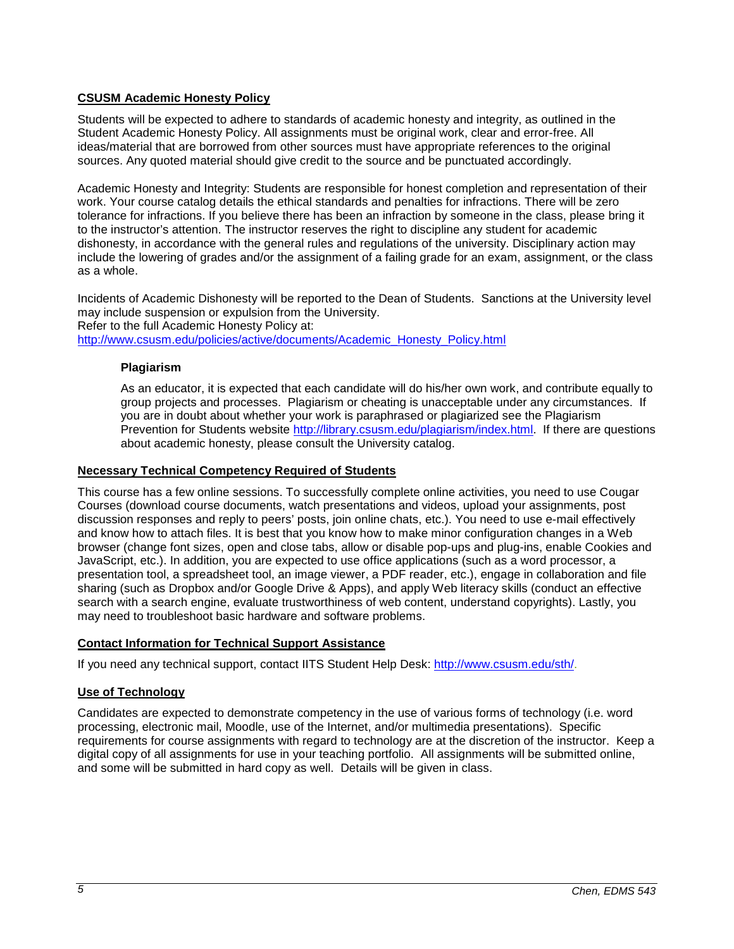## **CSUSM Academic Honesty Policy**

Students will be expected to adhere to standards of academic honesty and integrity, as outlined in the Student Academic Honesty Policy. All assignments must be original work, clear and error-free. All ideas/material that are borrowed from other sources must have appropriate references to the original sources. Any quoted material should give credit to the source and be punctuated accordingly.

Academic Honesty and Integrity: Students are responsible for honest completion and representation of their work. Your course catalog details the ethical standards and penalties for infractions. There will be zero tolerance for infractions. If you believe there has been an infraction by someone in the class, please bring it to the instructor's attention. The instructor reserves the right to discipline any student for academic dishonesty, in accordance with the general rules and regulations of the university. Disciplinary action may include the lowering of grades and/or the assignment of a failing grade for an exam, assignment, or the class as a whole.

Incidents of Academic Dishonesty will be reported to the Dean of Students. Sanctions at the University level may include suspension or expulsion from the University. Refer to the full Academic Honesty Policy at: [http://www.csusm.edu/policies/active/documents/Academic\\_Honesty\\_Policy.html](http://www.csusm.edu/policies/active/documents/Academic_Honesty_Policy.html)

### **Plagiarism**

As an educator, it is expected that each candidate will do his/her own work, and contribute equally to group projects and processes. Plagiarism or cheating is unacceptable under any circumstances. If you are in doubt about whether your work is paraphrased or plagiarized see the Plagiarism Prevention for Students website [http://library.csusm.edu/plagiarism/index.html.](http://library.csusm.edu/plagiarism/index.html) If there are questions about academic honesty, please consult the University catalog.

### **Necessary Technical Competency Required of Students**

This course has a few online sessions. To successfully complete online activities, you need to use Cougar Courses (download course documents, watch presentations and videos, upload your assignments, post discussion responses and reply to peers' posts, join online chats, etc.). You need to use e-mail effectively and know how to attach files. It is best that you know how to make minor configuration changes in a Web browser (change font sizes, open and close tabs, allow or disable pop-ups and plug-ins, enable Cookies and JavaScript, etc.). In addition, you are expected to use office applications (such as a word processor, a presentation tool, a spreadsheet tool, an image viewer, a PDF reader, etc.), engage in collaboration and file sharing (such as Dropbox and/or Google Drive & Apps), and apply Web literacy skills (conduct an effective search with a search engine, evaluate trustworthiness of web content, understand copyrights). Lastly, you may need to troubleshoot basic hardware and software problems.

### **Contact Information for Technical Support Assistance**

If you need any technical support, contact IITS Student Help Desk: [http://www.csusm.edu/sth/.](http://www.csusm.edu/sth/)

### **Use of Technology**

Candidates are expected to demonstrate competency in the use of various forms of technology (i.e. word processing, electronic mail, Moodle, use of the Internet, and/or multimedia presentations). Specific requirements for course assignments with regard to technology are at the discretion of the instructor. Keep a digital copy of all assignments for use in your teaching portfolio. All assignments will be submitted online, and some will be submitted in hard copy as well. Details will be given in class.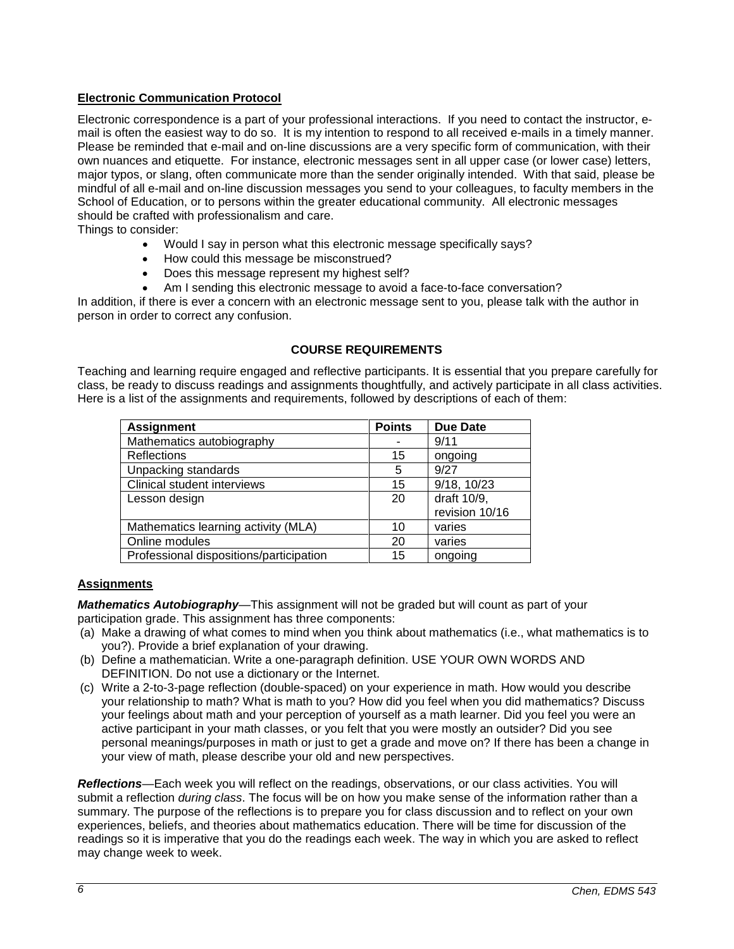## **Electronic Communication Protocol**

Electronic correspondence is a part of your professional interactions. If you need to contact the instructor, email is often the easiest way to do so. It is my intention to respond to all received e-mails in a timely manner. Please be reminded that e-mail and on-line discussions are a very specific form of communication, with their own nuances and etiquette. For instance, electronic messages sent in all upper case (or lower case) letters, major typos, or slang, often communicate more than the sender originally intended. With that said, please be mindful of all e-mail and on-line discussion messages you send to your colleagues, to faculty members in the School of Education, or to persons within the greater educational community. All electronic messages should be crafted with professionalism and care.

Things to consider:

- Would I say in person what this electronic message specifically says?
- How could this message be misconstrued?
- Does this message represent my highest self?
- Am I sending this electronic message to avoid a face-to-face conversation?

In addition, if there is ever a concern with an electronic message sent to you, please talk with the author in person in order to correct any confusion.

### **COURSE REQUIREMENTS**

Teaching and learning require engaged and reflective participants. It is essential that you prepare carefully for class, be ready to discuss readings and assignments thoughtfully, and actively participate in all class activities. Here is a list of the assignments and requirements, followed by descriptions of each of them:

| <b>Assignment</b>                       | <b>Points</b> | <b>Due Date</b> |
|-----------------------------------------|---------------|-----------------|
| Mathematics autobiography               |               | 9/11            |
| <b>Reflections</b>                      | 15            | ongoing         |
| Unpacking standards                     | 5             | 9/27            |
| Clinical student interviews             | 15            | 9/18, 10/23     |
| Lesson design                           | 20            | draft 10/9,     |
|                                         |               | revision 10/16  |
| Mathematics learning activity (MLA)     | 10            | varies          |
| Online modules                          | 20            | varies          |
| Professional dispositions/participation | 15            | ongoing         |

### **Assignments**

*Mathematics Autobiography*—This assignment will not be graded but will count as part of your participation grade. This assignment has three components:

- (a) Make a drawing of what comes to mind when you think about mathematics (i.e., what mathematics is to you?). Provide a brief explanation of your drawing.
- (b) Define a mathematician. Write a one-paragraph definition. USE YOUR OWN WORDS AND DEFINITION. Do not use a dictionary or the Internet.
- (c) Write a 2-to-3-page reflection (double-spaced) on your experience in math. How would you describe your relationship to math? What is math to you? How did you feel when you did mathematics? Discuss your feelings about math and your perception of yourself as a math learner. Did you feel you were an active participant in your math classes, or you felt that you were mostly an outsider? Did you see personal meanings/purposes in math or just to get a grade and move on? If there has been a change in your view of math, please describe your old and new perspectives.

*Reflections*—Each week you will reflect on the readings, observations, or our class activities. You will submit a reflection *during class*. The focus will be on how you make sense of the information rather than a summary. The purpose of the reflections is to prepare you for class discussion and to reflect on your own experiences, beliefs, and theories about mathematics education. There will be time for discussion of the readings so it is imperative that you do the readings each week. The way in which you are asked to reflect may change week to week.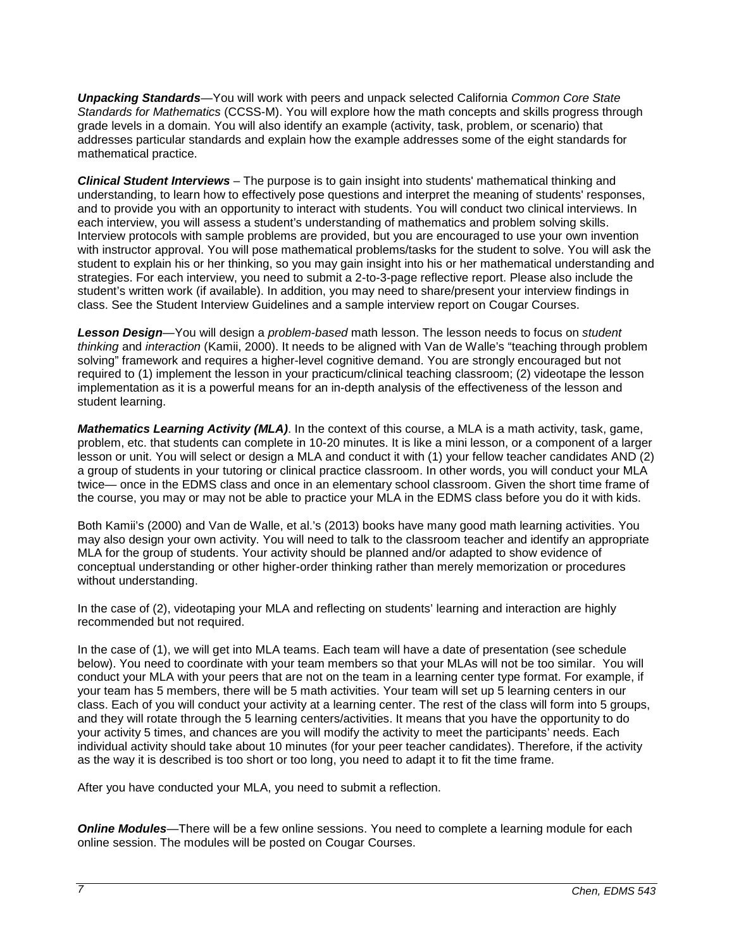*Unpacking Standards*—You will work with peers and unpack selected California *Common Core State Standards for Mathematics* (CCSS-M). You will explore how the math concepts and skills progress through grade levels in a domain. You will also identify an example (activity, task, problem, or scenario) that addresses particular standards and explain how the example addresses some of the eight standards for mathematical practice.

*Clinical Student Interviews* – The purpose is to gain insight into students' mathematical thinking and understanding, to learn how to effectively pose questions and interpret the meaning of students' responses, and to provide you with an opportunity to interact with students. You will conduct two clinical interviews. In each interview, you will assess a student's understanding of mathematics and problem solving skills. Interview protocols with sample problems are provided, but you are encouraged to use your own invention with instructor approval. You will pose mathematical problems/tasks for the student to solve. You will ask the student to explain his or her thinking, so you may gain insight into his or her mathematical understanding and strategies. For each interview, you need to submit a 2-to-3-page reflective report. Please also include the student's written work (if available). In addition, you may need to share/present your interview findings in class. See the Student Interview Guidelines and a sample interview report on Cougar Courses.

*Lesson Design*—You will design a *problem-based* math lesson. The lesson needs to focus on *student thinking* and *interaction* (Kamii, 2000). It needs to be aligned with Van de Walle's "teaching through problem solving" framework and requires a higher-level cognitive demand. You are strongly encouraged but not required to (1) implement the lesson in your practicum/clinical teaching classroom; (2) videotape the lesson implementation as it is a powerful means for an in-depth analysis of the effectiveness of the lesson and student learning.

*Mathematics Learning Activity (MLA)*. In the context of this course, a MLA is a math activity, task, game, problem, etc. that students can complete in 10-20 minutes. It is like a mini lesson, or a component of a larger lesson or unit. You will select or design a MLA and conduct it with (1) your fellow teacher candidates AND (2) a group of students in your tutoring or clinical practice classroom. In other words, you will conduct your MLA twice— once in the EDMS class and once in an elementary school classroom. Given the short time frame of the course, you may or may not be able to practice your MLA in the EDMS class before you do it with kids.

Both Kamii's (2000) and Van de Walle, et al.'s (2013) books have many good math learning activities. You may also design your own activity. You will need to talk to the classroom teacher and identify an appropriate MLA for the group of students. Your activity should be planned and/or adapted to show evidence of conceptual understanding or other higher-order thinking rather than merely memorization or procedures without understanding.

In the case of (2), videotaping your MLA and reflecting on students' learning and interaction are highly recommended but not required.

In the case of (1), we will get into MLA teams. Each team will have a date of presentation (see schedule below). You need to coordinate with your team members so that your MLAs will not be too similar. You will conduct your MLA with your peers that are not on the team in a learning center type format. For example, if your team has 5 members, there will be 5 math activities. Your team will set up 5 learning centers in our class. Each of you will conduct your activity at a learning center. The rest of the class will form into 5 groups, and they will rotate through the 5 learning centers/activities. It means that you have the opportunity to do your activity 5 times, and chances are you will modify the activity to meet the participants' needs. Each individual activity should take about 10 minutes (for your peer teacher candidates). Therefore, if the activity as the way it is described is too short or too long, you need to adapt it to fit the time frame.

After you have conducted your MLA, you need to submit a reflection.

**Online Modules**—There will be a few online sessions. You need to complete a learning module for each online session. The modules will be posted on Cougar Courses.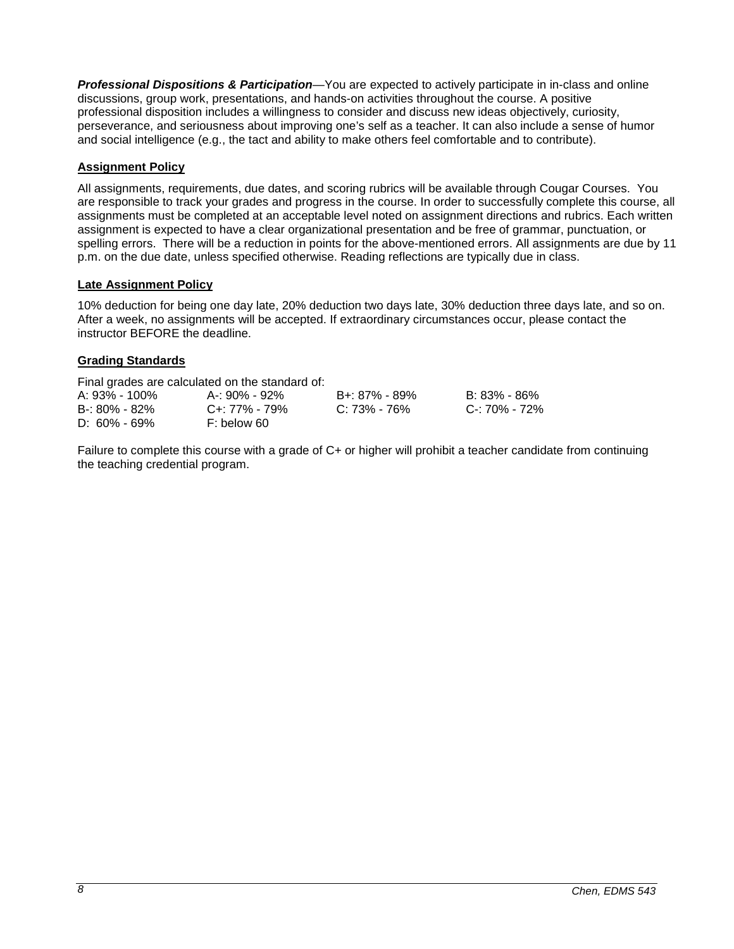*Professional Dispositions & Participation*—You are expected to actively participate in in-class and online discussions, group work, presentations, and hands-on activities throughout the course. A positive professional disposition includes a willingness to consider and discuss new ideas objectively, curiosity, perseverance, and seriousness about improving one's self as a teacher. It can also include a sense of humor and social intelligence (e.g., the tact and ability to make others feel comfortable and to contribute).

## **Assignment Policy**

All assignments, requirements, due dates, and scoring rubrics will be available through Cougar Courses. You are responsible to track your grades and progress in the course. In order to successfully complete this course, all assignments must be completed at an acceptable level noted on assignment directions and rubrics. Each written assignment is expected to have a clear organizational presentation and be free of grammar, punctuation, or spelling errors. There will be a reduction in points for the above-mentioned errors. All assignments are due by 11 p.m. on the due date, unless specified otherwise. Reading reflections are typically due in class.

## **Late Assignment Policy**

10% deduction for being one day late, 20% deduction two days late, 30% deduction three days late, and so on. After a week, no assignments will be accepted. If extraordinary circumstances occur, please contact the instructor BEFORE the deadline.

## **Grading Standards**

Final grades are calculated on the standard of:

| A: 93% - 100%     | A-: 90% - 92% | B+: 87% - 89% | B: 83% - 86%  |
|-------------------|---------------|---------------|---------------|
| $B - 80\% - 82\%$ | C+: 77% - 79% | C: 73% - 76%  | C-: 70% - 72% |
| $D: 60\% - 69\%$  | F: below 60   |               |               |

Failure to complete this course with a grade of C+ or higher will prohibit a teacher candidate from continuing the teaching credential program.